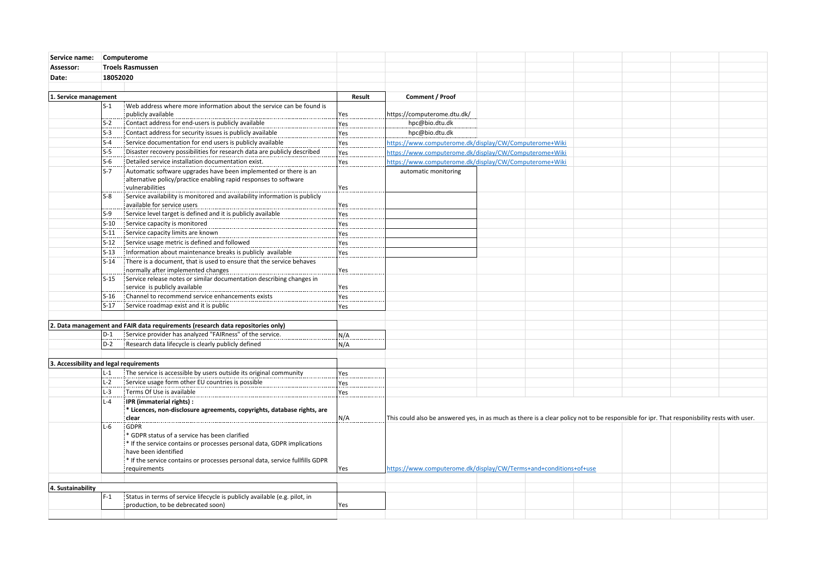| Service name:                           | Computerome             |                                                                                                                                                         |        |                                                                                                                                            |  |  |  |  |  |  |
|-----------------------------------------|-------------------------|---------------------------------------------------------------------------------------------------------------------------------------------------------|--------|--------------------------------------------------------------------------------------------------------------------------------------------|--|--|--|--|--|--|
| Assessor:                               | <b>Troels Rasmussen</b> |                                                                                                                                                         |        |                                                                                                                                            |  |  |  |  |  |  |
| Date:                                   | 18052020                |                                                                                                                                                         |        |                                                                                                                                            |  |  |  |  |  |  |
|                                         |                         |                                                                                                                                                         |        |                                                                                                                                            |  |  |  |  |  |  |
| 1. Service management                   |                         |                                                                                                                                                         | Result | Comment / Proof                                                                                                                            |  |  |  |  |  |  |
|                                         | $S-1$                   | Web address where more information about the service can be found is                                                                                    |        |                                                                                                                                            |  |  |  |  |  |  |
|                                         |                         | publicly available                                                                                                                                      | Yes    | https://computerome.dtu.dk/                                                                                                                |  |  |  |  |  |  |
|                                         | $S-2$                   | Contact address for end-users is publicly available                                                                                                     | Yes    | hpc@bio.dtu.dk                                                                                                                             |  |  |  |  |  |  |
|                                         | $S-3$                   | Contact address for security issues is publicly available                                                                                               | Yes    | hpc@bio.dtu.dk                                                                                                                             |  |  |  |  |  |  |
|                                         | $S-4$                   | Service documentation for end users is publicly available                                                                                               | Yes    | https://www.computerome.dk/display/CW/Computerome+Wiki                                                                                     |  |  |  |  |  |  |
|                                         | $S-5$                   | Disaster recovery possibilities for research data are publicly described                                                                                | Yes    | https://www.computerome.dk/display/CW/Computerome+Wiki                                                                                     |  |  |  |  |  |  |
|                                         | $S-6$                   | Detailed service installation documentation exist.                                                                                                      | Yes    | https://www.computerome.dk/display/CW/Computerome+Wiki                                                                                     |  |  |  |  |  |  |
|                                         | $S-7$                   | Automatic software upgrades have been implemented or there is an<br>alternative policy/practice enabling rapid responses to software<br>vulnerabilities | Yes    | automatic monitoring                                                                                                                       |  |  |  |  |  |  |
|                                         | $S-8$                   | Service availability is monitored and availability information is publicly<br>available for service users                                               | Yes    |                                                                                                                                            |  |  |  |  |  |  |
|                                         | S-9                     | Service level target is defined and it is publicly available                                                                                            | Yes    |                                                                                                                                            |  |  |  |  |  |  |
|                                         | $S-10$                  | Service capacity is monitored                                                                                                                           | Yes    |                                                                                                                                            |  |  |  |  |  |  |
|                                         | $S-11$                  | Service capacity limits are known                                                                                                                       | Yes    |                                                                                                                                            |  |  |  |  |  |  |
|                                         | $S-12$                  | Service usage metric is defined and followed                                                                                                            | Yes    |                                                                                                                                            |  |  |  |  |  |  |
|                                         | $S-13$                  | Information about maintenance breaks is publicly available                                                                                              | Yes    |                                                                                                                                            |  |  |  |  |  |  |
|                                         | $S-14$                  | There is a document, that is used to ensure that the service behaves                                                                                    |        |                                                                                                                                            |  |  |  |  |  |  |
|                                         |                         | normally after implemented changes                                                                                                                      | Yes    |                                                                                                                                            |  |  |  |  |  |  |
|                                         | $S-15$                  | Service release notes or similar documentation describing changes in                                                                                    |        |                                                                                                                                            |  |  |  |  |  |  |
|                                         |                         | service is publicly available                                                                                                                           | Yes    |                                                                                                                                            |  |  |  |  |  |  |
|                                         | $S-16$                  | : Channel to recommend service enhancements exists                                                                                                      | Yes    |                                                                                                                                            |  |  |  |  |  |  |
|                                         | $S-17$                  | Service roadmap exist and it is public                                                                                                                  | Yes    |                                                                                                                                            |  |  |  |  |  |  |
|                                         |                         |                                                                                                                                                         |        |                                                                                                                                            |  |  |  |  |  |  |
|                                         |                         | 2. Data management and FAIR data requirements (research data repositories only)                                                                         |        |                                                                                                                                            |  |  |  |  |  |  |
|                                         | $D-1$                   | Service provider has analyzed "FAIRness" of the service.                                                                                                | N/A    |                                                                                                                                            |  |  |  |  |  |  |
|                                         | D-2                     | Research data lifecycle is clearly publicly defined                                                                                                     | N/A    |                                                                                                                                            |  |  |  |  |  |  |
|                                         |                         |                                                                                                                                                         |        |                                                                                                                                            |  |  |  |  |  |  |
| 3. Accessibility and legal requirements |                         |                                                                                                                                                         |        |                                                                                                                                            |  |  |  |  |  |  |
|                                         | $L-1$                   | The service is accessible by users outside its original community                                                                                       | Yes    |                                                                                                                                            |  |  |  |  |  |  |
|                                         | $L-2$                   | Service usage form other EU countries is possible                                                                                                       | Yes    |                                                                                                                                            |  |  |  |  |  |  |
|                                         | $L-3$                   | Terms Of Use is available                                                                                                                               | Yes    |                                                                                                                                            |  |  |  |  |  |  |
|                                         | $L - 4$                 | IPR (immaterial rights) :                                                                                                                               |        |                                                                                                                                            |  |  |  |  |  |  |
|                                         |                         | * Licences, non-disclosure agreements, copyrights, database rights, are<br>clear                                                                        | N/A    | This could also be answered yes, in as much as there is a clear policy not to be responsible for ipr. That responisbility rests with user. |  |  |  |  |  |  |
|                                         | $L-6$                   | GDPR                                                                                                                                                    |        |                                                                                                                                            |  |  |  |  |  |  |
|                                         |                         | * GDPR status of a service has been clarified                                                                                                           |        |                                                                                                                                            |  |  |  |  |  |  |
|                                         |                         | * If the service contains or processes personal data, GDPR implications                                                                                 |        | https://www.computerome.dk/display/CW/Terms+and+conditions+of+use                                                                          |  |  |  |  |  |  |
|                                         |                         | have been identified<br>* If the service contains or processes personal data, service fullfills GDPR                                                    |        |                                                                                                                                            |  |  |  |  |  |  |
|                                         |                         | requirements                                                                                                                                            | Yes    |                                                                                                                                            |  |  |  |  |  |  |
|                                         |                         |                                                                                                                                                         |        |                                                                                                                                            |  |  |  |  |  |  |
| 4. Sustainability                       |                         |                                                                                                                                                         |        |                                                                                                                                            |  |  |  |  |  |  |
|                                         | $F-1$                   | Status in terms of service lifecycle is publicly available (e.g. pilot, in                                                                              |        |                                                                                                                                            |  |  |  |  |  |  |
|                                         |                         | production, to be debrecated soon)                                                                                                                      | Yes    |                                                                                                                                            |  |  |  |  |  |  |
|                                         |                         |                                                                                                                                                         |        |                                                                                                                                            |  |  |  |  |  |  |